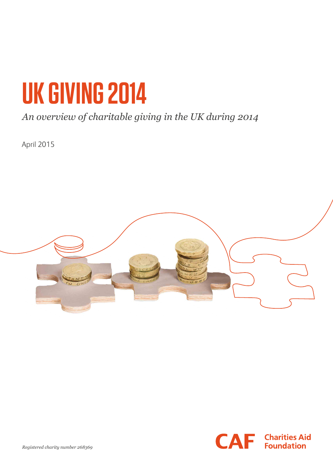# **UK GIVING 2014**

# *An overview of charitable giving in the UK during 2014*

April 2015



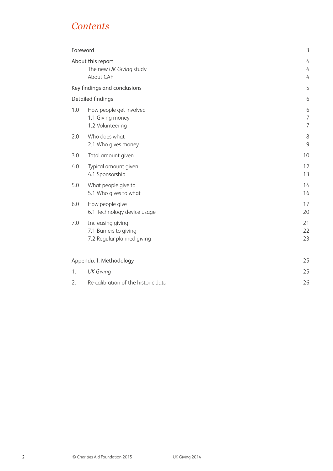## *Contents*

| Foreword                                                                         | 3                                     |
|----------------------------------------------------------------------------------|---------------------------------------|
| About this report<br>The new UK Giving study<br>About CAF                        | 4<br>$\overline{4}$<br>$\overline{4}$ |
| Key findings and conclusions                                                     | 5                                     |
| <b>Detailed findings</b>                                                         | 6                                     |
| 1.0<br>How people get involved<br>1.1 Giving money<br>1.2 Volunteering           | 6<br>$\overline{7}$<br>7              |
| Who does what<br>2.0<br>2.1 Who gives money                                      | 8<br>9                                |
| 3.0<br>Total amount given                                                        | 10                                    |
| Typical amount given<br>4.0<br>4.1 Sponsorship                                   | 12<br>13                              |
| 5.0<br>What people give to<br>5.1 Who gives to what                              | 14<br>16                              |
| 6.0<br>How people give<br>6.1 Technology device usage                            | 17<br>20                              |
| 7.0<br>Increasing giving<br>7.1 Barriers to giving<br>7.2 Regular planned giving | 21<br>22<br>23                        |
| Appendix I: Methodology                                                          | 25                                    |
| <b>UK Giving</b><br>1.                                                           | 25                                    |
| 2.<br>Re-calibration of the historic data                                        | 26                                    |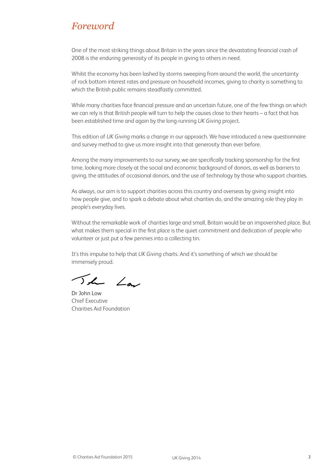### *Foreword*

One of the most striking things about Britain in the years since the devastating financial crash of 2008 is the enduring generosity of its people in giving to others in need.

Whilst the economy has been lashed by storms sweeping from around the world, the uncertainty of rock bottom interest rates and pressure on household incomes, giving to charity is something to which the British public remains steadfastly committed.

While many charities face financial pressure and an uncertain future, one of the few things on which we can rely is that British people will turn to help the causes close to their hearts – a fact that has been established time and again by the long-running *UK Giving* project.

This edition of *UK Giving* marks a change in our approach. We have introduced a new questionnaire and survey method to give us more insight into that generosity than ever before.

Among the many improvements to our survey, we are specifically tracking sponsorship for the first time, looking more closely at the social and economic background of donors, as well as barriers to giving, the attitudes of occasional donors, and the use of technology by those who support charities.

As always, our aim is to support charities across this country and overseas by giving insight into how people give, and to spark a debate about what charities do, and the amazing role they play in people's everyday lives.

Without the remarkable work of charities large and small, Britain would be an impoverished place. But what makes them special in the first place is the quiet commitment and dedication of people who volunteer or just put a few pennies into a collecting tin.

It's this impulse to help that *UK Giving* charts. And it's something of which we should be immensely proud.

The Law

Dr John Low Chief Executive Charities Aid Foundation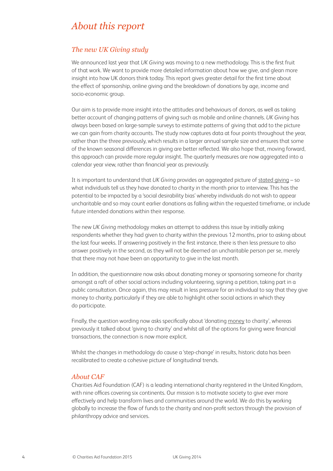## *About this report*

#### *The new UK Giving study*

We announced last year that *UK Giving* was moving to a new methodology. This is the first fruit of that work. We want to provide more detailed information about how we give, and glean more insight into how UK donors think today. This report gives greater detail for the first time about the effect of sponsorship, online giving and the breakdown of donations by age, income and socio-economic group.

Our aim is to provide more insight into the attitudes and behaviours of donors, as well as taking better account of changing patterns of giving such as mobile and online channels. *UK Giving* has always been based on large-sample surveys to estimate patterns of giving that add to the picture we can gain from charity accounts. The study now captures data at four points throughout the year, rather than the three previously, which results in a larger annual sample size and ensures that some of the known seasonal differences in giving are better reflected. We also hope that, moving forward, this approach can provide more regular insight. The quarterly measures are now aggregated into a calendar year view, rather than financial year as previously.

It is important to understand that *UK Giving* provides an aggregated picture of stated giving – so what individuals tell us they have donated to charity in the month prior to interview. This has the potential to be impacted by a 'social desirability bias' whereby individuals do not wish to appear uncharitable and so may count earlier donations as falling within the requested timeframe, or include future intended donations within their response.

The new *UK Giving* methodology makes an attempt to address this issue by initially asking respondents whether they had given to charity within the previous 12 months, prior to asking about the last four weeks. If answering positively in the first instance, there is then less pressure to also answer positively in the second, as they will not be deemed an uncharitable person per se, merely that there may not have been an opportunity to give in the last month.

In addition, the questionnaire now asks about donating money or sponsoring someone for charity amongst a raft of other social actions including volunteering, signing a petition, taking part in a public consultation. Once again, this may result in less pressure for an individual to say that they give money to charity, particularly if they are able to highlight other social actions in which they do participate.

Finally, the question wording now asks specifically about 'donating money to charity', whereas previously it talked about 'giving to charity' and whilst all of the options for giving were financial transactions, the connection is now more explicit.

Whilst the changes in methodology do cause a 'step-change' in results, historic data has been recalibrated to create a cohesive picture of longitudinal trends.

#### *About CAF*

Charities Aid Foundation (CAF) is a leading international charity registered in the United Kingdom, with nine offices covering six continents. Our mission is to motivate society to give ever more effectively and help transform lives and communities around the world. We do this by working globally to increase the flow of funds to the charity and non-profit sectors through the provision of philanthropy advice and services.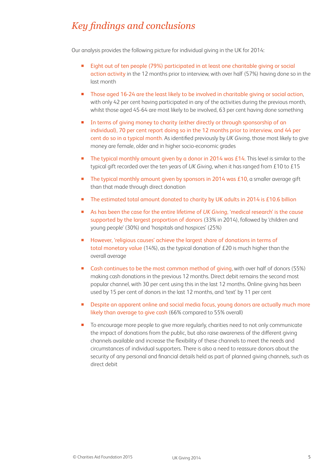# *Key findings and conclusions*

Our analysis provides the following picture for individual giving in the UK for 2014:

- Eight out of ten people (79%) participated in at least one charitable giving or social action activity in the 12 months prior to interview, with over half (57%) having done so in the last month
- **Those aged 16-24 are the least likely to be involved in charitable giving or social action,** with only 42 per cent having participated in any of the activities during the previous month, whilst those aged 45-64 are most likely to be involved, 63 per cent having done something
- **IF** In terms of giving money to charity (either directly or through sponsorship of an individual), 70 per cent report doing so in the 12 months prior to interview, and 44 per cent do so in a typical month. As identified previously by *UK Giving*, those most likely to give money are female, older and in higher socio-economic grades
- The typical monthly amount given by a donor in 2014 was £14. This level is similar to the typical gift recorded over the ten years of *UK Giving*, when it has ranged from £10 to £15
- The typical monthly amount given by sponsors in 2014 was  $£10$ , a smaller average gift than that made through direct donation
- The estimated total amount donated to charity by UK adults in 2014 is £10.6 billion
- As has been the case for the entire lifetime of *UK Giving*, 'medical research' is the cause supported by the largest proportion of donors (33% in 2014), followed by 'children and young people' (30%) and 'hospitals and hospices' (25%)
- **However, 'religious causes' achieve the largest share of donations in terms of** total monetary value (14%), as the typical donation of £20 is much higher than the overall average
- Cash continues to be the most common method of giving, with over half of donors (55%) making cash donations in the previous 12 months. Direct debit remains the second most popular channel, with 30 per cent using this in the last 12 months. Online giving has been used by 15 per cent of donors in the last 12 months, and 'text' by 11 per cent
- **Despite an apparent online and social media focus, young donors are actually much more** likely than average to give cash (66% compared to 55% overall)
- **The EX** To encourage more people to give more regularly, charities need to not only communicate the impact of donations from the public, but also raise awareness of the different giving channels available and increase the flexibility of these channels to meet the needs and circumstances of individual supporters. There is also a need to reassure donors about the security of any personal and financial details held as part of planned giving channels, such as direct debit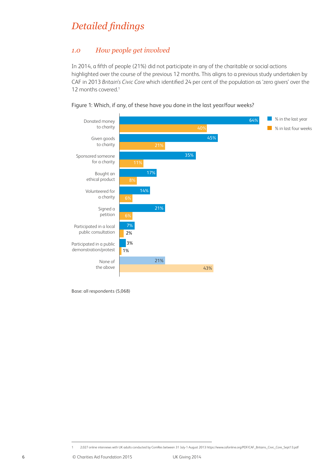# *Detailed findings*

#### *1.0 How people get involved*

In 2014, a fifth of people (21%) did not participate in any of the charitable or social actions highlighted over the course of the previous 12 months. This aligns to a previous study undertaken by CAF in 2013 *Britain's Civic Core* which identified 24 per cent of the population as 'zero givers' over the 12 months covered.<sup>1</sup>



Figure 1: Which, if any, of these have you done in the last year/four weeks?

Base: all respondents (5,068)

<sup>1 2,027</sup> online interviews with UK adults conducted by ComRes between 31 July-1 August 2013 https://www.cafonline.org/PDF/CAF\_Britains\_Civic\_Core\_Sept13.pdf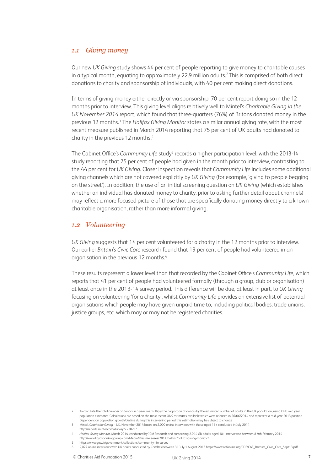#### *1.1 Giving money*

Our new *UK Giving* study shows 44 per cent of people reporting to give money to charitable causes in a typical month, equating to approximately 22.9 million adults.2 This is comprised of both direct donations to charity and sponsorship of individuals, with 40 per cent making direct donations.

In terms of giving money either directly or via sponsorship, 70 per cent report doing so in the 12 months prior to interview. This giving level aligns relatively well to Mintel's *Charitable Giving in the UK November 2014* report, which found that three-quarters (76%) of Britons donated money in the previous 12 months.<sup>3</sup> The *Halifax Giving Monitor* states a similar annual giving rate, with the most recent measure published in March 2014 reporting that 75 per cent of UK adults had donated to charity in the previous 12 months.<sup>4</sup>

The Cabinet Office's Community Life study<sup>5</sup> records a higher participation level, with the 2013-14 study reporting that 75 per cent of people had given in the month prior to interview, contrasting to the 44 per cent for *UK Giving*. Closer inspection reveals that *Community Life* includes some additional giving channels which are not covered explicitly by *UK Giving* (for example, 'giving to people begging on the street'). In addition, the use of an initial screening question on *UK Giving* (which establishes whether an individual has donated money to charity, prior to asking further detail about channels) may reflect a more focused picture of those that are specifically donating money directly to a known charitable organisation, rather than more informal giving.

#### *1.2 Volunteering*

*UK Giving* suggests that 14 per cent volunteered for a charity in the 12 months prior to interview. Our earlier *Britain's Civic Core* research found that 19 per cent of people had volunteered in an organisation in the previous 12 months.<sup>6</sup>

These results represent a lower level than that recorded by the Cabinet Office's *Community Life*, which reports that 41 per cent of people had volunteered formally (through a group, club or organisation) at least once in the 2013-14 survey period. This difference will be due, at least in part, to *UK Giving*  focusing on volunteering 'for a charity', whilst *Community Life* provides an extensive list of potential organisations which people may have given unpaid time to, including political bodies, trade unions, justice groups, etc. which may or may not be registered charities.

To calculate the total number of donors in a year, we multiply the proportion of donors by the estimated number of adults in the UK population, using ONS mid year population estimates. Calculations are based on the most recent ONS estimates available which were released in 26/06/2014 and represent a mid-year 2013 position. Dependent on population growth/decline during this intervening period this estimation may be subject to change

<sup>3</sup> Mintel, *Charitable Giving* – UK, November 2014 based on 2,000 online interviews with those aged 16+ conducted in July 2014 http://reports.mintel.com/display/722021/

<sup>4</sup> *Halifax Giving Monitor*, March 2014, conducted by ICM Research and comprising 2,044 GB adults aged 18+ interviewed between 8-9th February 2014

http://www.lloydsbankinggroup.com/Media/Press-Releases/2014/halifax/halifax-giving-monitor/

<sup>5</sup> https://www.gov.uk/government/collections/community-life-survey

<sup>6</sup> 2,027 online interviews with UK adults conducted by ComRes between 31 July-1 August 2013 https://www.cafonline.org/PDF/CAF\_Britains\_Civic\_Core\_Sept13.pdf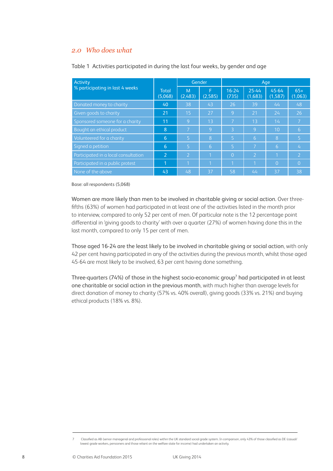#### *2.0 Who does what*

| Activity                             |                         | Gender         |                | Age                |                  |                  |                  |
|--------------------------------------|-------------------------|----------------|----------------|--------------------|------------------|------------------|------------------|
| % participating in last 4 weeks      | <b>Total</b><br>(5,068) | M<br>(2,483)   | F<br>(2,585)   | $16 - 24$<br>(735) | 25-44<br>(1,683) | 45-64<br>(1,587) | $65+$<br>(1,063) |
| Donated money to charity             | 40                      | 38             | 43             | 26                 | 39               | 44               | 48               |
| Given goods to charity               | 21                      | 15             | 27             | 9                  | 21               | 24               | 26               |
| Sponsored someone for a charity      | 11                      | 9              | 1 <sub>3</sub> | $\overline{7}$     | 1 <sub>3</sub>   | 14               |                  |
| Bought an ethical product            | 8                       | 17             | 9              | 3                  | 9                | 10               | 6                |
| Volunteered for a charity            | 6                       | 5              | 8              | 5                  | 6                | 8                | Ι5.              |
| Signed a petition                    | 6                       | $\overline{5}$ | 6              | $\overline{5}$     | $\overline{7}$   | $\overline{6}$   | 4                |
| Participated in a local consultation | $\overline{2}$          | $\overline{2}$ | 1              | $\Omega$           | $\overline{2}$   | 1                | יכו              |
| Participated in a public protest     | 1                       | 11             | 1              | $\overline{1}$     |                  | $\Omega$         | $\overline{0}$   |
| None of the above                    | 43                      | 48             | 37             | 58                 | 44               | 37               | 38               |

#### Table 1 Activities participated in during the last four weeks, by gender and age

Base: all respondents (5,068)

Women are more likely than men to be involved in charitable giving or social action. Over threefifths (63%) of women had participated in at least one of the activities listed in the month prior to interview, compared to only 52 per cent of men. Of particular note is the 12 percentage point differential in 'giving goods to charity' with over a quarter (27%) of women having done this in the last month, compared to only 15 per cent of men.

Those aged 16-24 are the least likely to be involved in charitable giving or social action, with only 42 per cent having participated in any of the activities during the previous month, whilst those aged 45-64 are most likely to be involved, 63 per cent having done something.

Three-quarters (74%) of those in the highest socio-economic group<sup>7</sup> had participated in at least one charitable or social action in the previous month, with much higher than average levels for direct donation of money to charity (57% vs. 40% overall), giving goods (33% vs. 21%) and buying ethical products (18% vs. 8%).

<sup>7</sup> Classified as AB (senior managerial and professional roles) within the UK standard social grade system. In comparison, only 43% of those classified as DE (casual/ lowest grade workers, pensioners and those reliant on the welfare state for income) had undertaken an activity.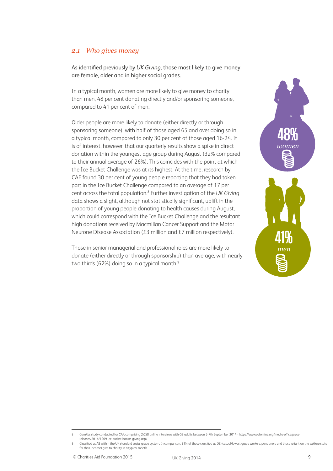#### *2.1 Who gives money*

As identified previously by *UK Giving*, those most likely to give money are female, older and in higher social grades.

In a typical month, women are more likely to give money to charity than men, 48 per cent donating directly and/or sponsoring someone, compared to 41 per cent of men.

Older people are more likely to donate (either directly or through sponsoring someone), with half of those aged 65 and over doing so in a typical month, compared to only 30 per cent of those aged 16-24. It is of interest, however, that our quarterly results show a spike in direct donation within the youngest age group during August (32% compared to their annual average of 26%). This coincides with the point at which the Ice Bucket Challenge was at its highest. At the time, research by CAF found 30 per cent of young people reporting that they had taken part in the Ice Bucket Challenge compared to an average of 17 per cent across the total population.<sup>8</sup> Further investigation of the UK Giving data shows a slight, although not statistically significant, uplift in the proportion of young people donating to health causes during August, which could correspond with the Ice Bucket Challenge and the resultant high donations received by Macmillan Cancer Support and the Motor Neurone Disease Association (£3 million and £7 million respectively).

Those in senior managerial and professional roles are more likely to donate (either directly or through sponsorship) than average, with nearly two thirds (62%) doing so in a typical month.<sup>9</sup>



<sup>8</sup> ComRes study conducted for CAF, comprising 2,058 online interviews with GB adults between 5-7th September 2014 - https://www.cafonline.org/media-office/pressreleases/2014/1209-ice-bucket-boosts-giving.aspx

Classified as AB within the UK standard social grade system. In comparison, 31% of those classified as DE (casual/lowest grade workers, pensioners and those reliant on the welfare state for their income) give to charity in a typical month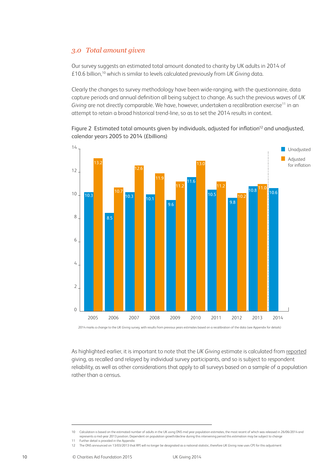#### *3.0 Total amount given*

Our survey suggests an estimated total amount donated to charity by UK adults in 2014 of £10.6 billion,10 which is similar to levels calculated previously from *UK Giving* data.

Clearly the changes to survey methodology have been wide-ranging, with the questionnaire, data capture periods and annual definition all being subject to change. As such the previous waves of *UK*  Giving are not directly comparable. We have, however, undertaken a recalibration exercise<sup>11</sup> in an attempt to retain a broad historical trend-line, so as to set the 2014 results in context.





2014 marks a change to the *UK Giving* survey, with results from previous years estimates based on a recalibration of the data (see Appendix for details)

As highlighted earlier, it is important to note that the *UK Giving* estimate is calculated from reported giving, as recalled and relayed by individual survey participants, and so is subject to respondent reliability, as well as other considerations that apply to all surveys based on a sample of a population rather than a census.

<sup>10</sup> Calculation is based on the estimated number of adults in the UK using ONS mid year population estimates, the most recent of which was released in 26/06/2014 and represents a mid-year 2013 position. Dependent on population growth/decline during this intervening period this estimation may be subject to change

<sup>11</sup> Further detail is provided in the Appendix

<sup>12</sup> The ONS announced on 13/03/2013 that RPI will no longer be designated as a national statistic, therefore *UK Giving* now uses CPI for this adjustment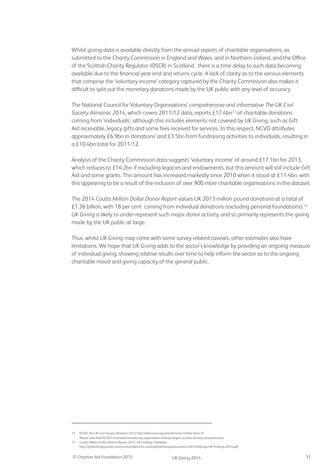Whilst giving data is available directly from the annual reports of charitable organisations, as submitted to the Charity Commission in England and Wales, and in Northern Ireland, and the Office of the Scottish Charity Regulator (OSCR) in Scotland, there is a time delay to such data becoming available due to the financial year end and returns cycle. A lack of clarity as to the various elements that comprise the 'voluntary income' category captured by the Charity Commission also makes it difficult to split out the monetary donations made by the UK public with any level of accuracy.

The National Council for Voluntary Organisations' comprehensive and informative *The UK Civil Society Almanac 2014*, which covers 2011/12 data, reports £17.4bn13 of charitable donations coming from 'individuals', although this includes elements not covered by *UK Giving*, such as Gift Aid receivable, legacy gifts and some fees received for services. In this respect, NCVO attributes approximately £6.9bn in 'donations' and £3.5bn from fundraising activities to individuals, resulting in a £10.4bn total for 2011/12.

Analysis of the Charity Commission data suggests 'voluntary income' of around £17.1bn for 2013, which reduces to £14.2bn if excluding legacies and endowments, but this amount will still include Gift Aid and some grants. This amount has increased markedly since 2010 when it stood at £11.4bn, with this appearing to be a result of the inclusion of over 900 more charitable organisations in the dataset.

The 2014 Coutts *Million Dollar Donor Report* values UK 2013 million pound donations at a total of £1.36 billion, with 18 per cent coming from individual donations (excluding personal foundations).14 *UK Giving* is likely to under-represent such major donor activity, and so primarily represents the giving made by the UK public at large.

Thus, whilst *UK Giving* may come with some survey-related caveats, other estimates also have limitations. We hope that *UK Giving* adds to the sector's knowledge by providing an ongoing measure of individual giving, showing relative results over time to help inform the sector as to the ongoing charitable mood and giving capacity of the general public.

<sup>13</sup> NCVO *The UK Civil Society Almanac 2014* http://data.ncvo.org.uk/a/almanac14/fast-facts-3/

Please note that NCVO's estimates exclude any organisation stating religion as their primary purpose/cause 14 Coutts *Million Dollar Donors Report 2014: UK Findings.* Available:

http://philanthropy.coutts.com/content/dam/rbs-coutts/philanthropy/documents/2014/findings/UK-Findings-2014.pdf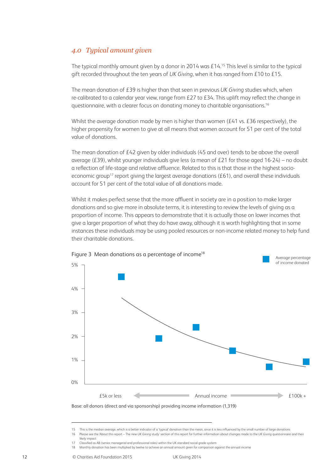#### *4.0 Typical amount given*

The typical monthly amount given by a donor in 2014 was £14.<sup>15</sup> This level is similar to the typical gift recorded throughout the ten years of *UK Giving*, when it has ranged from £10 to £15.

The mean donation of £39 is higher than that seen in previous *UK Giving* studies which, when re-calibrated to a calendar year view, range from £27 to £34. This uplift may reflect the change in questionnaire, with a clearer focus on donating money to charitable organisations.16

Whilst the average donation made by men is higher than women (£41 vs. £36 respectively), the higher propensity for women to give at all means that women account for 51 per cent of the total value of donations.

The mean donation of £42 given by older individuals (45 and over) tends to be above the overall average (£39), whilst younger individuals give less (a mean of £21 for those aged 16-24) – no doubt a reflection of life-stage and relative affluence. Related to this is that those in the highest socioeconomic group<sup>17</sup> report giving the largest average donations ( $£61$ ), and overall these individuals account for 51 per cent of the total value of all donations made.

Whilst it makes perfect sense that the more affluent in society are in a position to make larger donations and so give more in absolute terms, it is interesting to review the levels of giving as a proportion of income. This appears to demonstrate that it is actually those on lower incomes that give a larger proportion of what they do have away, although it is worth highlighting that in some instances these individuals may be using pooled resources or non-income related money to help fund their charitable donations.



Figure 3 Mean donations as a percentage of income<sup>18</sup>

Base: all donors (direct and via sponsorship) providing income information (1,319)

<sup>15</sup> This is the median average, which is a better indicator of a 'typical' donation than the mean, since it is less influenced by the small number of large donations

<sup>16</sup> Please see the 'About this report – The new *UK Giving* study' section of this report for further information about changes made to the *UK Giving* questionnaire and their likely impact

<sup>17</sup> Classified as AB (senior managerial and professional roles) within the UK standard social grade system

<sup>18</sup> Monthly donation has been multiplied by twelve to achieve an annual amount given for comparison against the annual income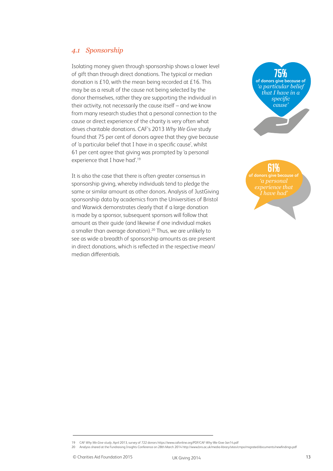#### *4.1 Sponsorship*

Isolating money given through sponsorship shows a lower level of gift than through direct donations. The typical or median donation is £10, with the mean being recorded at £16. This may be as a result of the cause not being selected by the donor themselves, rather they are supporting the individual in their activity, not necessarily the cause itself – and we know from many research studies that a personal connection to the cause or direct experience of the charity is very often what drives charitable donations. CAF's 2013 *Why We Give* study found that 75 per cent of donors agree that they give because of 'a particular belief that I have in a specific cause', whilst 61 per cent agree that giving was prompted by 'a personal experience that I have had'.19

It is also the case that there is often greater consensus in sponsorship giving, whereby individuals tend to pledge the same or similar amount as other donors. Analysis of JustGiving sponsorship data by academics from the Universities of Bristol and Warwick demonstrates clearly that if a large donation is made by a sponsor, subsequent sponsors will follow that amount as their guide (and likewise if one individual makes a smaller than average donation).20 Thus, we are unlikely to see as wide a breadth of sponsorship amounts as are present in direct donations, which is reflected in the respective mean/ median differentials.

**75% of donors give because of**  *'a particular belief that I have in a specific cause'*

**61% of donors give because of**  *experience that* 

<sup>19</sup> CAF *Why We Give study*, April 2013, survey of 722 donors https://www.cafonline.org/PDF/CAF-Why-We-Give-Jan14.pdf

<sup>20</sup> Analysis shared at the Fundraising Insights Conference on 28th March 2014 http://www.bris.ac.uk/media-library/sites/cmpo/migrated/documents/newfindings.pdf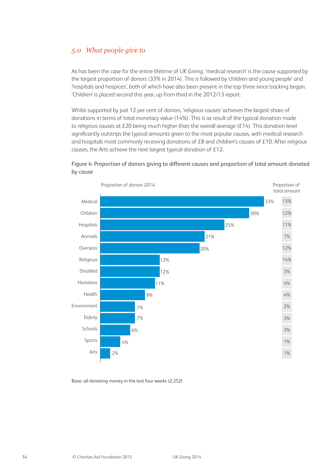#### *5.0 What people give to*

As has been the case for the entire lifetime of *UK Giving*, 'medical research' is the cause supported by the largest proportion of donors (33% in 2014). This is followed by 'children and young people' and 'hospitals and hospices', both of which have also been present in the top three since tracking began. 'Children' is placed second this year, up from third in the 2012/13 report.

Whilst supported by just 12 per cent of donors, 'religious causes' achieves the largest share of donations in terms of total monetary value (14%). This is as result of the typical donation made to religious causes at £20 being much higher than the overall average (£14). This donation level significantly outstrips the typical amounts given to the most popular causes, with medical research and hospitals most commonly receiving donations of £8 and children's causes of £10. After religious causes, the Arts achieve the next largest typical donation of £12.



#### Figure 4: Proportion of donors giving to different causes and proportion of total amount donated by cause

Base: all donating money in the last four weeks (2,252)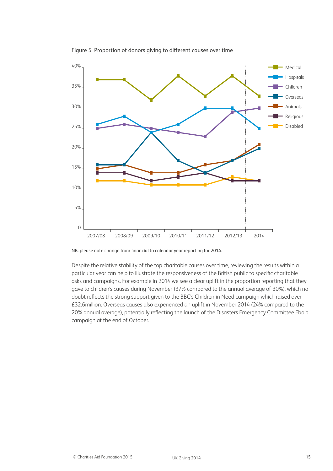

Figure 5 Proportion of donors giving to different causes over time

NB: please note change from financial to calendar year reporting for 2014.

Despite the relative stability of the top charitable causes over time, reviewing the results within a particular year can help to illustrate the responsiveness of the British public to specific charitable asks and campaigns. For example in 2014 we see a clear uplift in the proportion reporting that they gave to children's causes during November (37% compared to the annual average of 30%), which no doubt reflects the strong support given to the BBC's Children in Need campaign which raised over £32.6million. Overseas causes also experienced an uplift in November 2014 (24% compared to the 20% annual average), potentially reflecting the launch of the Disasters Emergency Committee Ebola campaign at the end of October.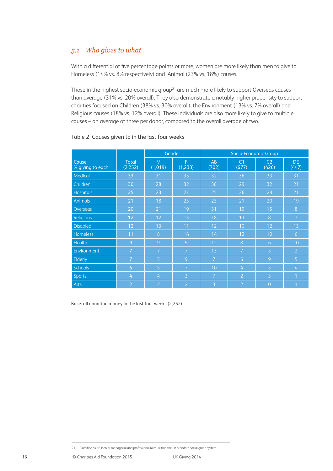#### *5.1 Who gives to what*

With a differential of five percentage points or more, women are more likely than men to give to Homeless (14% vs. 8% respectively) and Animal (23% vs. 18%) causes.

Those in the highest socio-economic group<sup>21</sup> are much more likely to support Overseas causes than average (31% vs. 20% overall). They also demonstrate a notably higher propensity to support charities focused on Children (38% vs. 30% overall), the Environment (13% vs. 7% overall) and Religious causes (18% vs. 12% overall). These individuals are also more likely to give to multiple causes – an average of three per donor, compared to the overall average of two.

|                           |                          | Gender         |                | Socio-Economic Group |                         |                         |                          |
|---------------------------|--------------------------|----------------|----------------|----------------------|-------------------------|-------------------------|--------------------------|
| Cause<br>% giving to each | <b>Total</b><br>(2, 252) | M<br>(1,019)   | F<br>(1,233)   | AB<br>(702)          | C <sub>1</sub><br>(677) | C <sub>2</sub><br>(426) | DE.<br>(447)             |
| Medical                   | 33                       | 31             | 35             | 32                   | 36                      | 33                      | 31                       |
| Children                  | 30                       | 28             | 32             | 38                   | 29                      | 32                      | 21                       |
| <b>Hospitals</b>          | 25                       | 23             | 27             | 25                   | 26                      | 28                      | 21                       |
| Animals                   | 21                       | 18             | 23             | 23                   | 21                      | 20                      | 19                       |
| Overseas                  | 20                       | 21             | 19             | 31                   | 19                      | 15                      | 8                        |
| Religious                 | 12                       | 12             | 13             | 18                   | 13                      | 8                       | $\overline{7}$           |
| <b>Disabled</b>           | 12                       | 13             | 11             | 12                   | 10                      | 12                      | 13                       |
| Homeless                  | 11                       | 8              | 14             | 14                   | 12                      | 10                      | $\overline{6}$           |
| Health                    | 9                        | 9              | 9              | 12                   | 8                       | 6                       | 10                       |
| Environment               | 7                        | 7              | $\overline{7}$ | 13                   | 7                       | 3                       | $\overline{2}$           |
| Elderly                   | 7                        | 5              | 9              | $\overline{7}$       | $6\overline{6}$         | 9                       | 5                        |
| <b>Schools</b>            | 6                        | 5              | $\overline{7}$ | 10                   | 4                       | 3                       | $\mathcal{L}_{\text{L}}$ |
| <b>Sports</b>             | 4                        | 4              | 3              | $\overline{7}$       | $\overline{2}$          | 3                       | и                        |
| Arts                      | $\overline{2}$           | $\overline{2}$ | $\overline{2}$ | 3                    | $\overline{2}$          | $\overline{O}$          |                          |

#### Table 2 Causes given to in the last four weeks

Base: all donating money in the last four weeks (2,252)

<sup>21</sup> Classified as AB (senior managerial and professional roles) within the UK standard social grade system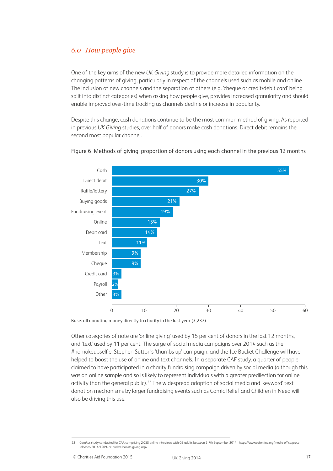#### *6.0 How people give*

One of the key aims of the new *UK Giving* study is to provide more detailed information on the changing patterns of giving, particularly in respect of the channels used such as mobile and online. The inclusion of new channels and the separation of others (e.g. 'cheque or credit/debit card' being split into distinct categories) when asking how people give, provides increased granularity and should enable improved over-time tracking as channels decline or increase in popularity.

Despite this change, cash donations continue to be the most common method of giving. As reported in previous *UK Giving* studies, over half of donors make cash donations. Direct debit remains the second most popular channel.



#### Figure 6 Methods of giving: proportion of donors using each channel in the previous 12 months

Base: all donating money directly to charity in the last year (3,237)

Other categories of note are 'online giving' used by 15 per cent of donors in the last 12 months, and 'text' used by 11 per cent. The surge of social media campaigns over 2014 such as the #nomakeupselfie, Stephen Sutton's 'thumbs up' campaign, and the Ice Bucket Challenge will have helped to boost the use of online and text channels. In a separate CAF study, a quarter of people claimed to have participated in a charity fundraising campaign driven by social media (although this was an online sample and so is likely to represent individuals with a greater predilection for online activity than the general public).<sup>22</sup> The widespread adoption of social media and 'keyword' text donation mechanisms by larger fundraising events such as Comic Relief and Children in Need will also be driving this use.

<sup>22</sup> ComRes study conducted for CAF, comprising 2,058 online interviews with GB adults between 5-7th September 2014 - https://www.cafonline.org/media-office/pressreleases/2014/1209-ice-bucket-boosts-giving.aspx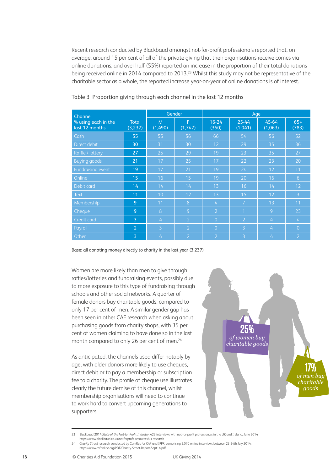Recent research conducted by Blackbaud amongst not-for-profit professionals reported that, on average, around 15 per cent of all of the private giving that their organisations receive comes via online donations, and over half (55%) reported an increase in the proportion of their total donations being received online in 2014 compared to 2013.23 Whilst this study may not be representative of the charitable sector as a whole, the reported increase year-on-year of online donations is of interest.

| Channel                               |                  | Gender         |                | Age                      |                  |                  |                |
|---------------------------------------|------------------|----------------|----------------|--------------------------|------------------|------------------|----------------|
| % using each in the<br>last 12 months | Total<br>(3,237) | M<br>(1,490)   | F<br>(1,747)   | $16 - 24$<br>(350)       | 25-44<br>(1,041) | 45-64<br>(1,063) | $65+$<br>(783) |
| Cash                                  | 55               | 55             | 56             | 66                       | 54               | 56               | 52             |
| Direct debit                          | 30               | 31             | 30             | 12                       | 29               | 35               | 36             |
| Raffle / lottery                      | 27               | 25             | 29             | 19                       | 23               | 35               | 27             |
| <b>Buying goods</b>                   | 21               | 17             | 25             | 17                       | 22               | 23               | 20             |
| Fundraising event                     | 19               | 17             | 21             | 19                       | 24               | 12               | 11             |
| Online                                | 15               | 16             | 15             | 19                       | 20               | 16               | 6              |
| Debit card                            | 14               | 14             | 14             | 13                       | 16               | 14               | 12             |
| <b>Text</b>                           | 11               | 10             | 12             | 13                       | 15               | 12               | $\overline{3}$ |
| Membership                            | 9                | 11             | 8              | $\mathcal{L}_{\text{I}}$ | 7                | 13               | 11             |
| <b>Cheque</b>                         | 9                | 8              | 9              | $\overline{2}$           | $\overline{1}$   | 9                | 23             |
| Credit card                           | $\overline{3}$   | 4              | $\overline{2}$ | $\overline{0}$           | $\overline{2}$   | 4                | $\frac{1}{4}$  |
| Payroll                               | $\overline{2}$   | 3              | $\overline{2}$ | $\overline{0}$           | 3                | 4                | $\Omega$       |
| Other                                 | 3                | $\overline{4}$ | $\overline{2}$ | $\overline{2}$           | 3                | $\overline{4}$   | $\overline{2}$ |

Table 3 Proportion giving through each channel in the last 12 months

Base: all donating money directly to charity in the last year (3,237)

Women are more likely than men to give through raffles/lotteries and fundraising events, possibly due to more exposure to this type of fundraising through schools and other social networks. A quarter of female donors buy charitable goods, compared to only 17 per cent of men. A similar gender gap has been seen in other CAF research when asking about purchasing goods from charity shops, with 35 per cent of women claiming to have done so in the last month compared to only 26 per cent of men.<sup>24</sup>

As anticipated, the channels used differ notably by age, with older donors more likely to use cheques, direct debit or to pay a membership or subscription fee to a charity. The profile of cheque use illustrates clearly the future demise of this channel, whilst membership organisations will need to continue to work hard to convert upcoming generations to supporters.



<sup>23</sup> Blackbaud 2014 *State of the Not-for-Profit Industry*, 423 interviews with not-for-profit professionals in the UK and Ireland, June 2014 https://www.blackbaud.co.uk/notforprofit-resources/uk-research

<sup>24</sup> *Charity Street* research conducted by ComRes for CAF and IPPR, comprising 2,070 online interviews between 23-24th July 2014 : https://www.cafonline.org/PDF/Charity-Street-Report-Sept14.pdf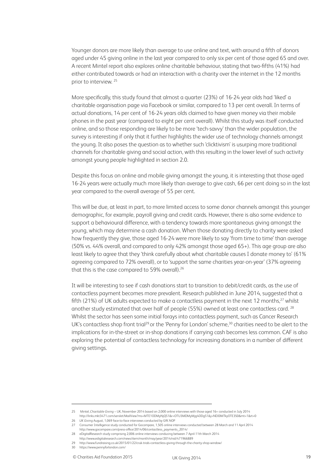Younger donors are more likely than average to use online and text, with around a fifth of donors aged under 45 giving online in the last year compared to only six per cent of those aged 65 and over. A recent Mintel report also explores online charitable behaviour, stating that two-fifths (41%) had either contributed towards or had an interaction with a charity over the internet in the 12 months prior to interview. 25

More specifically, this study found that almost a quarter (23%) of 16-24 year olds had 'liked' a charitable organisation page via Facebook or similar, compared to 13 per cent overall. In terms of actual donations, 14 per cent of 16-24 years olds claimed to have given money via their mobile phones in the past year (compared to eight per cent overall). Whilst this study was itself conducted online, and so those responding are likely to be more 'tech-savvy' than the wider population, the survey is interesting if only that it further highlights the wider use of technology channels amongst the young. It also poses the question as to whether such 'clicktivism' is usurping more traditional channels for charitable giving and social action, with this resulting in the lower level of such activity amongst young people highlighted in section 2.0.

Despite this focus on online and mobile giving amongst the young, it is interesting that those aged 16-24 years were actually much more likely than average to give cash, 66 per cent doing so in the last year compared to the overall average of 55 per cent.

This will be due, at least in part, to more limited access to some donor channels amongst this younger demographic, for example, payroll giving and credit cards. However, there is also some evidence to support a behavioural difference, with a tendency towards more spontaneous giving amongst the young, which may determine a cash donation. When those donating directly to charity were asked how frequently they give, those aged 16-24 were more likely to say 'from time to time' than average (50% vs. 44% overall, and compared to only 42% amongst those aged 65+). This age group are also least likely to agree that they 'think carefully about what charitable causes I donate money to' (61% agreeing compared to 72% overall), or to 'support the same charities year-on-year' (37% agreeing that this is the case compared to 59% overall).<sup>26</sup>

It will be interesting to see if cash donations start to transition to debit/credit cards, as the use of contactless payment becomes more prevalent. Research published in June 2014, suggested that a fifth (21%) of UK adults expected to make a contactless payment in the next 12 months, $27$  whilst another study estimated that over half of people (55%) owned at least one contactless card. 28 Whilst the sector has seen some initial forays into contactless payment, such as Cancer Research UK's contactless shop front trial<sup>29</sup> or the 'Penny for London' scheme,<sup>30</sup> charities need to be alert to the implications for in-the-street or in-shop donations if carrying cash becomes less common. CAF is also exploring the potential of contactless technology for increasing donations in a number of different giving settings.

<sup>25</sup> Mintel, *Charitable Giving* – UK, November 2014 based on 2,000 online interviews with those aged 16+ conducted in July 2014

http://links.mkt3471.com/servlet/MailView?ms=MTE1ODMyNjQS1&r=OTU3MDMyMjg4ODgS1&j=NDI0MTkyOTE3S0&mt=1&rt=0 26 *UK Giving* August, 1,069 face-to-face interviews conducted by GfK NOP

<sup>27</sup> Consumer Intelligence study conducted for Gocompare, 1,505 online interviews conducted between 28 March and 11 April 2014 http://www.gocompare.com/press-office/2014/06/contactless\_payments\_2014/

<sup>28</sup> eDigitalResearch study comprising 2,006 online interviews conducing between 7 April-11th March 2014 http://www.edigitalresearch.com/news/item/month/may/year/2014/nid/471966889

<sup>29</sup> http://www.fundraising.co.uk/2015/01/22/cruk-trials-contactless-giving-through-the-charity-shop-window/

<sup>30</sup> https://www.pennyforlondon.com/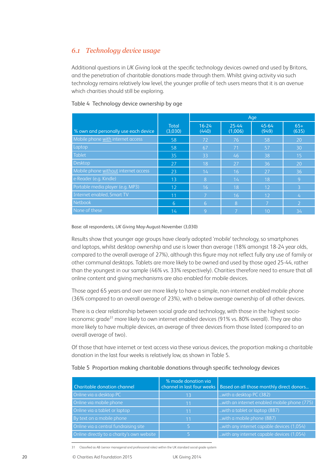#### *6.1 Technology device usage*

Additional questions in *UK Giving* look at the specific technology devices owned and used by Britons, and the penetration of charitable donations made through them. Whilst giving activity via such technology remains relatively low level, the younger profile of tech users means that it is an avenue which charities should still be exploring.

|                                      |                         | Age                |                  |                |                |
|--------------------------------------|-------------------------|--------------------|------------------|----------------|----------------|
| % own and personally use each device | <b>Total</b><br>(3,030) | $16 - 24$<br>(440) | 25-44<br>(1,006) | 45-64<br>(949) | $65+$<br>(635) |
| Mobile phone with internet access    | 58                      | 72                 | 76               | 58             | 20             |
| Laptop                               | 58                      | 67                 | 71               | 57             | 30             |
| <b>Tablet</b>                        | 35                      | 33                 | 46               | 38             | 15             |
| Desktop                              | 27                      | 18                 | 27               | 36             | 20             |
| Mobile phone without internet access | 23                      | 14                 | 16               | 27             | 36             |
| e-Reader (e.g. Kindle)               | 13                      | Ι8.                | 14               | 18             | 9              |
| Portable media player (e.g. MP3)     | 12                      | 16                 | 18               | 12             | 3              |
| Internet enabled, Smart TV           | 11                      | ⇁                  | 16               | 12             | $\overline{4}$ |
| Netbook                              | 6                       | 6                  | 8                | 7              | $\overline{2}$ |
| None of these                        | 14                      | 9                  | 7                | 10             | 34             |

Table 4 Technology device ownership by age

#### Base: all respondents, *UK Giving* May-August-November (3,030)

Results show that younger age groups have clearly adopted 'mobile' technology, so smartphones and laptops, whilst desktop ownership and use is lower than average (18% amongst 18-24 year olds, compared to the overall average of 27%), although this figure may not reflect fully any use of family or other communal desktops. Tablets are more likely to be owned and used by those aged 25-44, rather than the youngest in our sample (46% vs. 33% respectively). Charities therefore need to ensure that all online content and giving mechanisms are also enabled for mobile devices.

Those aged 65 years and over are more likely to have a simple, non-internet enabled mobile phone (36% compared to an overall average of 23%), with a below average ownership of all other devices.

There is a clear relationship between social grade and technology, with those in the highest socioeconomic grade<sup>31</sup> more likely to own internet enabled devices (91% vs. 80% overall). They are also more likely to have multiple devices, an average of three devices from those listed (compared to an overall average of two).

Of those that have internet or text access via these various devices, the proportion making a charitable donation in the last four weeks is relatively low, as shown in Table 5.

| Charitable donation channel                | % made donation via | channel in last four weeks   Based on all those monthly direct donors |
|--------------------------------------------|---------------------|-----------------------------------------------------------------------|
| Online via a desktop PC                    | 13                  | with a desktop PC (382)                                               |
| Online via mobile phone                    | 11                  | with an internet enabled mobile phone (775).                          |
| Online via a tablet or laptop              | 11                  | with a tablet or laptop (887)                                         |
| By text on a mobile phone                  | 11                  | with a mobile phone (887)                                             |
| Online via a central fundraising site      |                     | with any internet capable devices (1,054).                            |
| Online directly to a charity's own website |                     | with any internet capable devices (1,054)                             |

#### Table 5 Proportion making charitable donations through specific technology devices

31 Classified as AB (senior managerial and professional roles) within the UK standard social grade system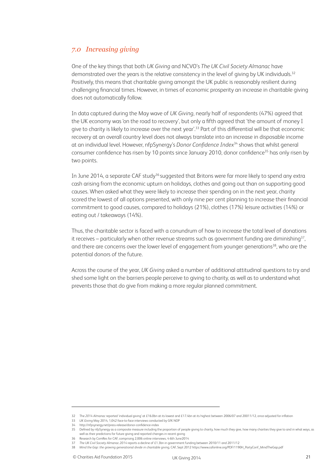#### *7.0 Increasing giving*

One of the key things that both *UK Giving* and NCVO's *The UK Civil Society Almanac* have demonstrated over the years is the relative consistency in the level of giving by UK individuals.<sup>32</sup> Positively, this means that charitable giving amongst the UK public is reasonably resilient during challenging financial times. However, in times of economic prosperity an increase in charitable giving does not automatically follow.

In data captured during the May wave of *UK Giving*, nearly half of respondents (47%) agreed that the UK economy was 'on the road to recovery', but only a fifth agreed that 'the amount of money I give to charity is likely to increase over the next year'.<sup>33</sup> Part of this differential will be that economic recovery at an overall country level does not always translate into an increase in disposable income at an individual level. However, nfpSynergy's *Donor Confidence Index*34 shows that whilst general consumer confidence has risen by 10 points since January 2010, donor confidence<sup>35</sup> has only risen by two points.

In June 2014, a separate CAF study<sup>36</sup> suggested that Britons were far more likely to spend any extra cash arising from the economic upturn on holidays, clothes and going out than on supporting good causes. When asked what they were likely to increase their spending on in the next year, charity scored the lowest of all options presented, with only nine per cent planning to increase their financial commitment to good causes, compared to holidays (21%), clothes (17%) leisure activities (14%) or eating out / takeaways (14%).

Thus, the charitable sector is faced with a conundrum of how to increase the total level of donations it receives – particularly when other revenue streams such as government funding are diminishing<sup>37</sup>, and there are concerns over the lower level of engagement from younger generations<sup>38</sup>, who are the potential donors of the future.

Across the course of the year, *UK Giving* asked a number of additional attitudinal questions to try and shed some light on the barriers people perceive to giving to charity, as well as to understand what prevents those that do give from making a more regular planned commitment.

<sup>32</sup> The *2014 Almanac* reported 'individual giving' at £16.0bn at its lowest and £17.4bn at its highest between 2006/07 and 20011/12, once adjusted for inflation

<sup>33</sup> *UK Giving* May 2014, 1,042 face-to-face interviews conducted by GfK NOP

<sup>34</sup> http://nfpsynergy.net/press-release/donor-confidence-index

<sup>35</sup> Defined by nfpSynergy as a composite measure including the proportion of people giving to charity, how much they give, how many charities they give to and in what ways, as well as their predictions for future giving and reported changes in recent giving

<sup>36</sup> Research by ComRes for CAF, comprising 2,006 online interviews, 4-6th June2014

<sup>37</sup> *The UK Civil Society Almanac 2014* reports a decline of £1.3bn in government funding between 2010/11 and 2011/12

<sup>38</sup> *Mind the Gap: the growing generational divide in charitable giving*, CAF, Sept 2012 https://www.cafonline.org/PDF/1190H\_PartyConf\_MindTheGap.pdf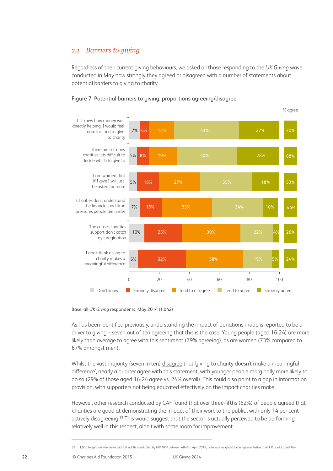#### *7.1 Barriers to giving*

Regardless of their current giving behaviours, we asked all those responding to the *UK Giving* wave conducted in May how strongly they agreed or disagreed with a number of statements about potential barriers to giving to charity.





Base: all *UK Giving* respondents, May 2014 (1,042)

As has been identified previously, understanding the impact of donations made is reported to be a driver to giving – seven out of ten agreeing that this is the case. Young people (aged 16-24) are more likely than average to agree with this sentiment (79% agreeing), as are women (73% compared to 67% amongst men).

Whilst the vast majority (seven in ten) disagree that 'giving to charity doesn't make a meaningful difference', nearly a quarter agree with this statement, with younger people marginally more likely to do so (29% of those aged 16-24 agree vs. 24% overall). This could also point to a gap in information provision, with supporters not being educated effectively on the impact charities make.

However, other research conducted by CAF found that over three-fifths (62%) of people agreed that 'charities are good at demonstrating the impact of their work to the public', with only 14 per cent actively disagreeing.<sup>39</sup> This would suggest that the sector is actually perceived to be performing relatively well in this respect, albeit with some room for improvement.

<sup>39</sup> 1,000 telephone interviews with UK adults conducted by GfK NOP between 4th-6th April 2014, data was weighted to be representative of all UK adults aged 16+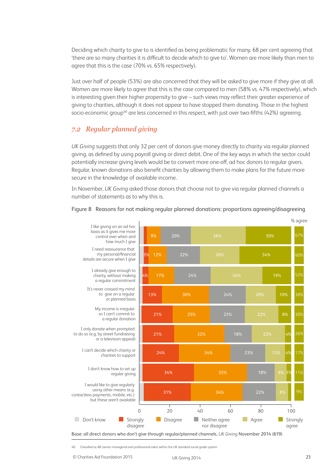Deciding which charity to give to is identified as being problematic for many, 68 per cent agreeing that 'there are so many charities it is difficult to decide which to give to'. Women are more likely than men to agree that this is the case (70% vs. 65% respectively).

Just over half of people (53%) are also concerned that they will be asked to give more if they give at all. Women are more likely to agree that this is the case compared to men (58% vs. 47% respectively), which is interesting given their higher propensity to give – such views may reflect their greater experience of giving to charities, although it does not appear to have stopped them donating. Those in the highest socio-economic group<sup>40</sup> are less concerned in this respect, with just over two-fifths (42%) agreeing.

#### *7.2 Regular planned giving*

*UK Giving* suggests that only 32 per cent of donors give money directly to charity via regular planned giving, as defined by using payroll giving or direct debit. One of the key ways in which the sector could potentially increase giving levels would be to convert more one-off, ad hoc donors to regular givers. Regular, known donations also benefit charities by allowing them to make plans for the future more secure in the knowledge of available income.

In November, *UK Giving* asked those donors that choose not to give via regular planned channels a number of statements as to why this is.



#### Figure 8 Reasons for not making regular planned donations: proportions agreeing/disagreeing

Base: all direct donors who don't give through regular/planned channels, *UK Giving* November 2014 (619)

40 Classified as AB (senior managerial and professional roles) within the UK standard social grade system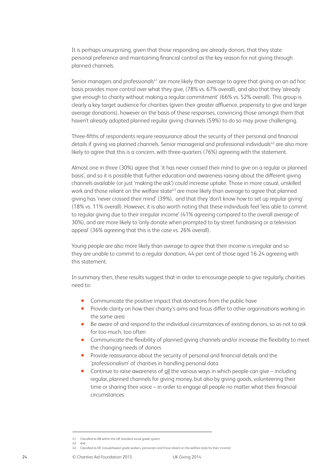It is perhaps unsurprising, given that those responding are already donors, that they state personal preference and maintaining financial control as the key reason for not giving through planned channels.

Senior managers and professionals<sup>41</sup> are more likely than average to agree that giving on an ad hoc basis provides more control over what they give, (78% vs. 67% overall), and also that they 'already give enough to charity without making a regular commitment' (66% vs. 52% overall). This group is clearly a key target audience for charities (given their greater affluence, propensity to give and larger average donations), however on the basis of these responses, convincing those amongst them that haven't already adopted planned regular giving channels (59%) to do so may prove challenging.

Three-fifths of respondents require reassurance about the security of their personal and financial details if giving via planned channels. Senior managerial and professional individuals<sup>42</sup> are also more likely to agree that this is a concern, with three-quarters (76%) agreeing with the statement.

Almost one in three (30%) agree that 'it has never crossed their mind to give on a regular or planned basis', and so it is possible that further education and awareness raising about the different giving channels available (or just 'making the ask') could increase uptake. Those in more casual, unskilled work and those reliant on the welfare state<sup>43</sup> are more likely than average to agree that planned giving has 'never crossed their mind' (39%), and that they 'don't know how to set up regular giving' (18% vs. 11% overall). However, it is also worth noting that these individuals feel 'less able to commit to regular giving due to their irregular income' (41% agreeing compared to the overall average of 30%), and are more likely to 'only donate when prompted to by street fundraising or a television appeal' (36% agreeing that this is the case vs. 26% overall).

Young people are also more likely than average to agree that their income is irregular and so they are unable to commit to a regular donation, 44 per cent of those aged 16-24 agreeing with this statement.

In summary then, these results suggest that in order to encourage people to give regularly, charities need to:

- **Communicate the positive impact that donations from the public have**
- **Provide clarity on how their charity's aims and focus differ to other organisations working in** the same area
- Be aware of and respond to the individual circumstances of existing donors, so as not to ask for too much, too often
- **Communicate the flexibility of planned giving channels and/or increase the flexibility to meet** the changing needs of donors
- **Provide reassurance about the security of personal and financial details and the** 'professionalism' of charities in handling personal data
- Continue to raise awareness of all the various ways in which people can give including regular, planned channels for giving money, but also by giving goods, volunteering their time or sharing their voice – in order to engage all people no matter what their financial circumstances

<sup>41</sup> Classified as AB within the UK standard social grade system

<sup>42</sup> ibid

<sup>43</sup> Classified as DE (casual/lowest grade workers, pensioners and those reliant on the welfare state for their income)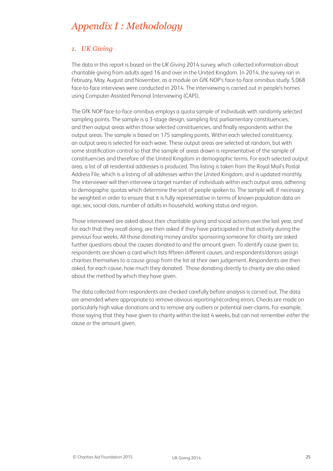## *Appendix I : Methodology*

#### *1. UK Giving*

The data in this report is based on the *UK Giving* 2014 survey, which collected information about charitable giving from adults aged 16 and over in the United Kingdom. In 2014, the survey ran in February, May, August and November, as a module on GfK NOP's face-to-face omnibus study. 5,068 face-to-face interviews were conducted in 2014. The interviewing is carried out in people's homes using Computer-Assisted Personal Interviewing (CAPI).

The GfK NOP face-to-face omnibus employs a quota sample of individuals with randomly selected sampling points. The sample is a 3-stage design, sampling first parliamentary constituencies, and then output areas within those selected constituencies, and finally respondents within the output areas. The sample is based on 175 sampling points. Within each selected constituency, an output area is selected for each wave. These output areas are selected at random, but with some stratification control so that the sample of areas drawn is representative of the sample of constituencies and therefore of the United Kingdom in demographic terms. For each selected output area, a list of all residential addresses is produced. This listing is taken from the Royal Mail's Postal Address File, which is a listing of all addresses within the United Kingdom, and is updated monthly. The interviewer will then interview a target number of individuals within each output area, adhering to demographic quotas which determine the sort of people spoken to. The sample will, if necessary, be weighted in order to ensure that it is fully representative in terms of known population data on age, sex, social class, number of adults in household, working status and region.

Those interviewed are asked about their charitable giving and social actions over the last year, and for each that they recall doing, are then asked if they have participated in that activity during the previous four weeks. All those donating money and/or sponsoring someone for charity are asked further questions about the causes donated to and the amount given. To identify cause given to, respondents are shown a card which lists fifteen different causes, and respondents/donors assign charities themselves to a cause group from the list at their own judgement. Respondents are then asked, for each cause, how much they donated. Those donating directly to charity are also asked about the method by which they have given.

The data collected from respondents are checked carefully before analysis is carried out. The data are amended where appropriate to remove obvious reporting/recording errors. Checks are made on particularly high value donations and to remove any outliers or potential over-claims. For example, those saying that they have given to charity within the last 4 weeks, but can not remember *either* the cause *or* the amount given.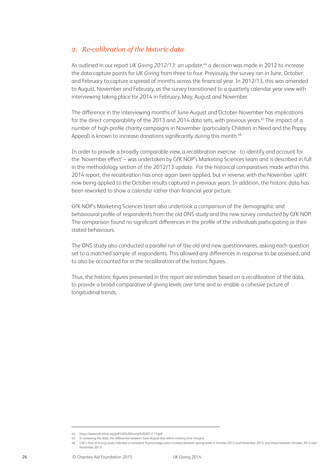#### *2. Re-calibration of the historic data*

As outlined in our report *UK Giving 2012/13: an update*, 44 a decision was made in 2012 to increase the data capture points for *UK Giving* from three to four. Previously, the survey ran in June, October and February to capture a spread of months across the financial year. In 2012/13, this was amended to August, November and February, as the survey transitioned to a quarterly calendar year view with interviewing taking place for 2014 in February, May, August and November.

The difference in the interviewing months of June-August and October-November has implications for the direct comparability of the 2013 and 2014 data sets, with previous years.<sup>45</sup> The impact of a number of high-profile charity campaigns in November (particularly Children in Need and the Poppy Appeal) is known to increase donations significantly during this month.<sup>46</sup>

In order to provide a broadly comparable view, a recalibration exercise - to identify and account for the 'November effect' – was undertaken by GfK NOP's Marketing Sciences team and is described in full in the methodology section of the 2012/13 update. For the historical comparatives made within this 2014 report, the recalibration has once again been applied, but in reverse, with the November 'uplift' now being applied to the October results captured in previous years. In addition, the historic data has been reworked to show a *calendar* rather than financial year picture.

GfK NOP's Marketing Sciences team also undertook a comparison of the demographic and behavioural profile of respondents from the old ONS study and the new survey conducted by GfK NOP. The comparison found no significant differences in the profile of the individuals participating or their stated behaviours.

The ONS study also conducted a parallel run of the old and new questionnaires, asking each question set to a matched sample of respondents. This allowed any differences in response to be assessed, and to also be accounted for in the recalibration of the historic figures.

Thus, the historic figures presented in this report are estimates based on a recalibration of the data, to provide a broad comparative of giving levels over time and so enable a cohesive picture of longitudinal trends.

<sup>44</sup> https://www.cafonline.org/pdf/UK%20Giving%202012-13.pdf

<sup>45</sup> In reviewing the data, the differential between June-August was within existing error margins

<sup>46</sup> CAF's *Year of Giving* study indicates a consistent 9 percentage point increase between giving levels in October 2012 and November 2012, and those between October 2013 and November 2013